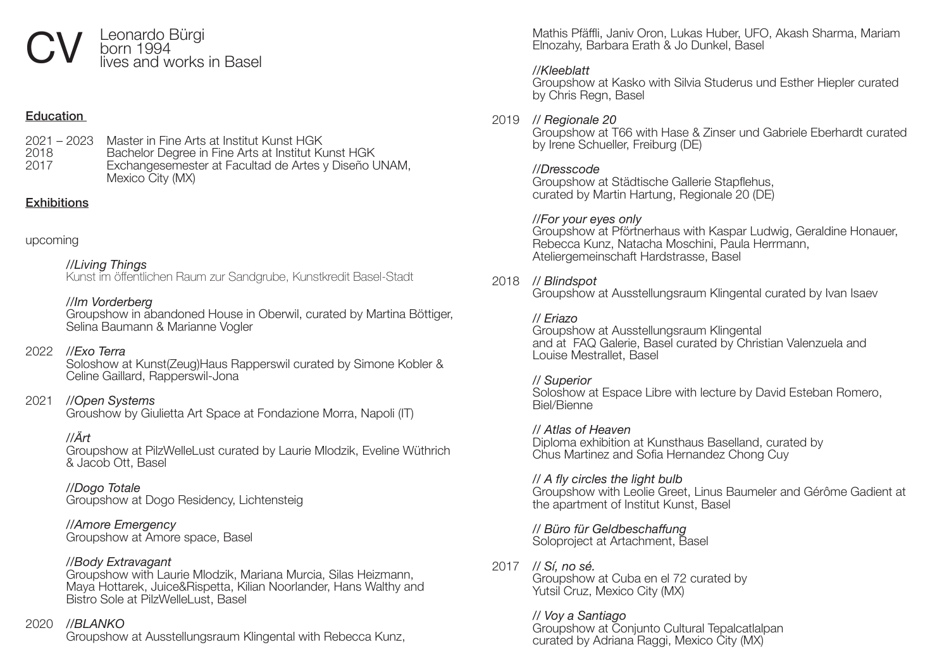## Leonardo Bürgi<br>born 1994 lives and works in Basel

#### **Education**

2021 – 2023 Master in Fine Arts at Institut Kunst HGK 2018 Bachelor Degree in Fine Arts at Institut Kunst HGK Exchangesemester at Facultad de Artes y Diseño UNAM, Mexico City (MX)

#### **Exhibitions**

| upcoming |
|----------|
|----------|

#### *//Living Things*

Kunst im öffentlichen Raum zur Sandgrube, Kunstkredit Basel-Stadt

#### *//Im Vorderberg*

Groupshow in abandoned House in Oberwil, curated by Martina Böttiger, Selina Baumann & Marianne Vogler

#### 2022 *//Exo Terra*

Soloshow at Kunst(Zeug)Haus Rapperswil curated by Simone Kobler & Celine Gaillard, Rapperswil-Jona

#### 2021 *//Open Systems*

Groushow by Giulietta Art Space at Fondazione Morra, Napoli (IT)

#### *//Ärt*

Groupshow at PilzWelleLust curated by Laurie Mlodzik, Eveline Wüthrich & Jacob Ott, Basel

*//Dogo Totale* Groupshow at Dogo Residency, Lichtensteig

#### *//Amore Emergency* Groupshow at Amore space, Basel

#### *//Body Extravagant*

Groupshow with Laurie Mlodzik, Mariana Murcia, Silas Heizmann, Maya Hottarek, Juice&Rispetta, Kilian Noorlander, Hans Walthy and Bistro Sole at PilzWelleLust, Basel

#### 2020 *//BLANKO*

Groupshow at Ausstellungsraum Klingental with Rebecca Kunz,

 Mathis Pfäffli, Janiv Oron, Lukas Huber, UFO, Akash Sharma, Mariam Elnozahy, Barbara Erath & Jo Dunkel, Basel

#### *//Kleeblatt*

Groupshow at Kasko with Silvia Studerus und Esther Hiepler curated by Chris Regn, Basel

#### 2019 *// Regionale 20*

Groupshow at T66 with Hase & Zinser und Gabriele Eberhardt curated by Irene Schueller, Freiburg (DE)

#### *//Dresscode*

 Groupshow at Städtische Gallerie Stapflehus, curated by Martin Hartung, Regionale 20 (DE)

#### *//For your eyes only*

Groupshow at Pförtnerhaus with Kaspar Ludwig, Geraldine Honauer, Rebecca Kunz, Natacha Moschini, Paula Herrmann, Ateliergemeinschaft Hardstrasse, Basel

#### 2018 *// Blindspot*

Groupshow at Ausstellungsraum Klingental curated by Ivan Isaev

#### *// Eriazo*

Groupshow at Ausstellungsraum Klingental and at FAQ Galerie, Basel curated by Christian Valenzuela and Louise Mestrallet, Basel

#### *// Superior*

Soloshow at Espace Libre with lecture by David Esteban Romero, Biel/Bienne

*// Atlas of Heaven* Diploma exhibition at Kunsthaus Baselland, curated by Chus Martinez and Sofia Hernandez Chong Cuy

#### *// A fly circles the light bulb*

Groupshow with Leolie Greet, Linus Baumeler and Gérôme Gadient at the apartment of Institut Kunst, Basel

#### *// Büro für Geldbeschaffung*

Soloproject at Artachment, Basel

#### 2017 *// Sí, no sé.*

Groupshow at Cuba en el 72 curated by Yutsil Cruz, Mexico City (MX)

### *// Voy a Santiago*

Groupshow at Conjunto Cultural Tepalcatlalpan curated by Adriana Raggi, Mexico City (MX)